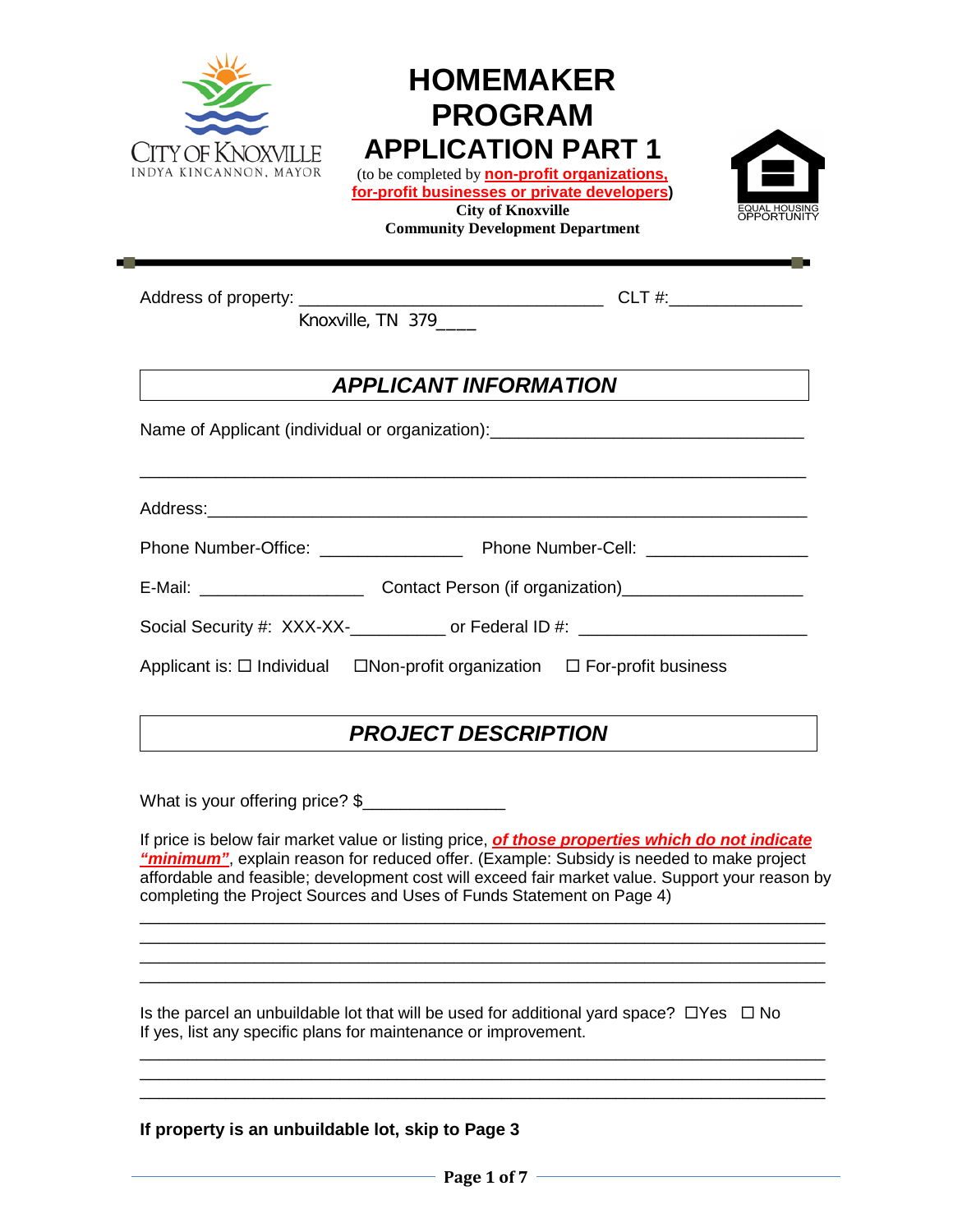

# **HOMEMAKER PROGRAM APPLICATION PART 1**

(to be completed by **non-profit organizations, for-profit businesses or private developers) City of Knoxville**

**Community Development Department**



Address of property: \_\_\_\_\_\_\_\_\_\_\_\_\_\_\_\_\_\_\_\_\_\_\_\_\_\_\_\_\_\_\_\_ CLT #:\_\_\_\_\_\_\_\_\_\_\_\_\_\_

Knoxville, TN 379\_\_\_\_

## *APPLICANT INFORMATION*

Name of Applicant (individual or organization):

Address:\_\_\_\_\_\_\_\_\_\_\_\_\_\_\_\_\_\_\_\_\_\_\_\_\_\_\_\_\_\_\_\_\_\_\_\_\_\_\_\_\_\_\_\_\_\_\_\_\_\_\_\_\_\_\_\_\_\_\_\_\_\_\_

| <b>Phone Number-Office:</b> | Phone Number-Cell: |
|-----------------------------|--------------------|
|                             |                    |

\_\_\_\_\_\_\_\_\_\_\_\_\_\_\_\_\_\_\_\_\_\_\_\_\_\_\_\_\_\_\_\_\_\_\_\_\_\_\_\_\_\_\_\_\_\_\_\_\_\_\_\_\_\_\_\_\_\_\_\_\_\_\_\_\_\_\_\_\_\_

| E-Mail: | Contact Person (if organization) |
|---------|----------------------------------|
|         |                                  |

Social Security #: XXX-XX-<br>
or Federal ID #:

Applicant is:  $\Box$  Individual  $\Box$  Non-profit organization  $\Box$  For-profit business

## *PROJECT DESCRIPTION*

What is your offering price? \$\_\_\_\_\_\_\_\_\_\_\_\_\_\_\_

If price is below fair market value or listing price, *of those properties which do not indicate*  "minimum", explain reason for reduced offer. (Example: Subsidy is needed to make project affordable and feasible; development cost will exceed fair market value. Support your reason by completing the Project Sources and Uses of Funds Statement on Page 4)

\_\_\_\_\_\_\_\_\_\_\_\_\_\_\_\_\_\_\_\_\_\_\_\_\_\_\_\_\_\_\_\_\_\_\_\_\_\_\_\_\_\_\_\_\_\_\_\_\_\_\_\_\_\_\_\_\_\_\_\_\_\_\_\_\_\_\_\_\_\_\_\_ \_\_\_\_\_\_\_\_\_\_\_\_\_\_\_\_\_\_\_\_\_\_\_\_\_\_\_\_\_\_\_\_\_\_\_\_\_\_\_\_\_\_\_\_\_\_\_\_\_\_\_\_\_\_\_\_\_\_\_\_\_\_\_\_\_\_\_\_\_\_\_\_ \_\_\_\_\_\_\_\_\_\_\_\_\_\_\_\_\_\_\_\_\_\_\_\_\_\_\_\_\_\_\_\_\_\_\_\_\_\_\_\_\_\_\_\_\_\_\_\_\_\_\_\_\_\_\_\_\_\_\_\_\_\_\_\_\_\_\_\_\_\_\_\_ \_\_\_\_\_\_\_\_\_\_\_\_\_\_\_\_\_\_\_\_\_\_\_\_\_\_\_\_\_\_\_\_\_\_\_\_\_\_\_\_\_\_\_\_\_\_\_\_\_\_\_\_\_\_\_\_\_\_\_\_\_\_\_\_\_\_\_\_\_\_\_\_

Is the parcel an unbuildable lot that will be used for additional yard space?  $\Box$  Yes  $\Box$  No If yes, list any specific plans for maintenance or improvement.

\_\_\_\_\_\_\_\_\_\_\_\_\_\_\_\_\_\_\_\_\_\_\_\_\_\_\_\_\_\_\_\_\_\_\_\_\_\_\_\_\_\_\_\_\_\_\_\_\_\_\_\_\_\_\_\_\_\_\_\_\_\_\_\_\_\_\_\_\_\_\_\_ \_\_\_\_\_\_\_\_\_\_\_\_\_\_\_\_\_\_\_\_\_\_\_\_\_\_\_\_\_\_\_\_\_\_\_\_\_\_\_\_\_\_\_\_\_\_\_\_\_\_\_\_\_\_\_\_\_\_\_\_\_\_\_\_\_\_\_\_\_\_\_\_

#### **If property is an unbuildable lot, skip to Page 3**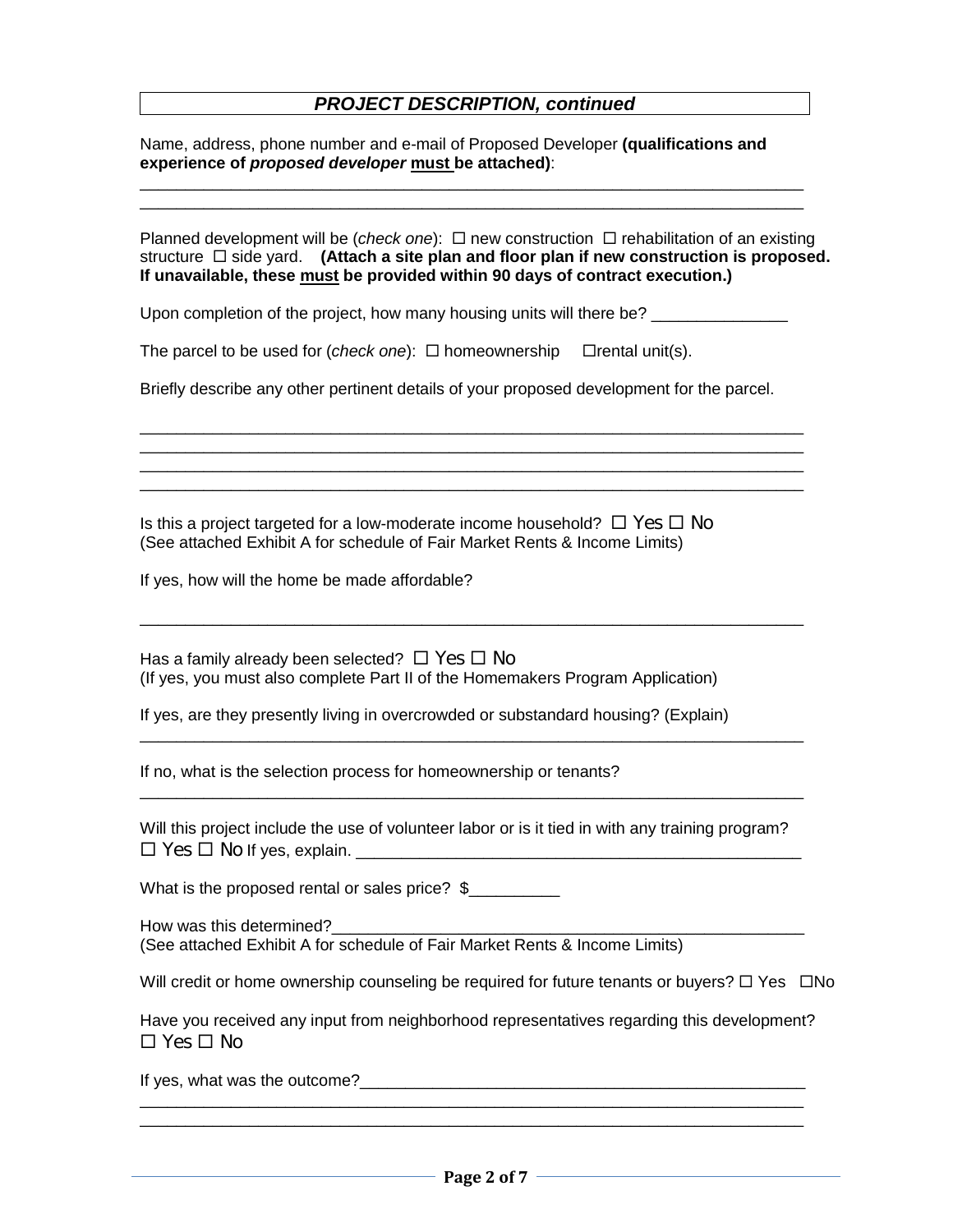#### *PROJECT DESCRIPTION, continued*

Name, address, phone number and e-mail of Proposed Developer **(qualifications and experience of** *proposed developer* **must be attached)**:

 $\mathcal{L}_\mathcal{L} = \{ \mathcal{L}_\mathcal{L} = \{ \mathcal{L}_\mathcal{L} = \{ \mathcal{L}_\mathcal{L} = \{ \mathcal{L}_\mathcal{L} = \{ \mathcal{L}_\mathcal{L} = \{ \mathcal{L}_\mathcal{L} = \{ \mathcal{L}_\mathcal{L} = \{ \mathcal{L}_\mathcal{L} = \{ \mathcal{L}_\mathcal{L} = \{ \mathcal{L}_\mathcal{L} = \{ \mathcal{L}_\mathcal{L} = \{ \mathcal{L}_\mathcal{L} = \{ \mathcal{L}_\mathcal{L} = \{ \mathcal{L}_\mathcal{$  $\Box$  . The contribution of the contribution of the contribution of the contribution of the contribution of the contribution of the contribution of the contribution of the contribution of the contribution of the contributi

Planned development will be (*check one*):  $\Box$  new construction  $\Box$  rehabilitation of an existing structure  $\Box$  side yard. (Attach a site plan and floor plan if new construction is proposed. **If unavailable, these must be provided within 90 days of contract execution.)**

Upon completion of the project, how many housing units will there be? \_\_\_\_\_\_\_\_\_\_\_\_\_\_\_

The parcel to be used for (*check one*):  $\Box$  homeownership  $\Box$  rental unit(s).

Briefly describe any other pertinent details of your proposed development for the parcel.

 $\Box$  . The contribution of the contribution of the contribution of the contribution of the contribution of the contribution of the contribution of the contribution of the contribution of the contribution of the contributi  $\Box$  . The contribution of the contribution of the contribution of the contribution of the contribution of the contribution of the contribution of the contribution of the contribution of the contribution of the contributi  $\_$  ,  $\_$  ,  $\_$  ,  $\_$  ,  $\_$  ,  $\_$  ,  $\_$  ,  $\_$  ,  $\_$  ,  $\_$  ,  $\_$  ,  $\_$  ,  $\_$  ,  $\_$  ,  $\_$  ,  $\_$  ,  $\_$  ,  $\_$  ,  $\_$  ,  $\_$  ,  $\_$  ,  $\_$  ,  $\_$  ,  $\_$  ,  $\_$  ,  $\_$  ,  $\_$  ,  $\_$  ,  $\_$  ,  $\_$  ,  $\_$  ,  $\_$  ,  $\_$  ,  $\_$  ,  $\_$  ,  $\_$  ,  $\_$  ,  $\Box$  . The contribution of the contribution of the contribution of the contribution of the contribution of the contribution of the contribution of the contribution of the contribution of the contribution of the contributi

 $\_$  , and the set of the set of the set of the set of the set of the set of the set of the set of the set of the set of the set of the set of the set of the set of the set of the set of the set of the set of the set of th

 $\_$  ,  $\_$  ,  $\_$  ,  $\_$  ,  $\_$  ,  $\_$  ,  $\_$  ,  $\_$  ,  $\_$  ,  $\_$  ,  $\_$  ,  $\_$  ,  $\_$  ,  $\_$  ,  $\_$  ,  $\_$  ,  $\_$  ,  $\_$  ,  $\_$  ,  $\_$  ,  $\_$  ,  $\_$  ,  $\_$  ,  $\_$  ,  $\_$  ,  $\_$  ,  $\_$  ,  $\_$  ,  $\_$  ,  $\_$  ,  $\_$  ,  $\_$  ,  $\_$  ,  $\_$  ,  $\_$  ,  $\_$  ,  $\_$  ,

 $\Box$  . The contribution of the contribution of the contribution of the contribution of the contribution of the contribution of the contribution of the contribution of the contribution of the contribution of the contributi

Is this a project targeted for a low-moderate income household?  $\Box$  Yes  $\Box$  No (See attached Exhibit A for schedule of Fair Market Rents & Income Limits)

If yes, how will the home be made affordable?

Has a family already been selected?  $\Box$  Yes  $\Box$  No (If yes, you must also complete Part II of the Homemakers Program Application)

If yes, are they presently living in overcrowded or substandard housing? (Explain)

If no, what is the selection process for homeownership or tenants?

|                                       | Will this project include the use of volunteer labor or is it tied in with any training program? |
|---------------------------------------|--------------------------------------------------------------------------------------------------|
| $\Box$ Yes $\Box$ No If yes, explain. |                                                                                                  |

What is the proposed rental or sales price? \$

How was this determined?

(See attached Exhibit A for schedule of Fair Market Rents & Income Limits)

Will credit or home ownership counseling be required for future tenants or buyers?  $\Box$  Yes  $\Box$ No

Have you received any input from neighborhood representatives regarding this development?  $\Box$  Yes  $\Box$  No

 $\Box$  . The contribution of the contribution of the contribution of the contribution of the contribution of the contribution of the contribution of the contribution of the contribution of the contribution of the contributi  $\Box$  . The contribution of the contribution of the contribution of the contribution of the contribution of the contribution of the contribution of the contribution of the contribution of the contribution of the contributi

If yes, what was the outcome?  $\Box$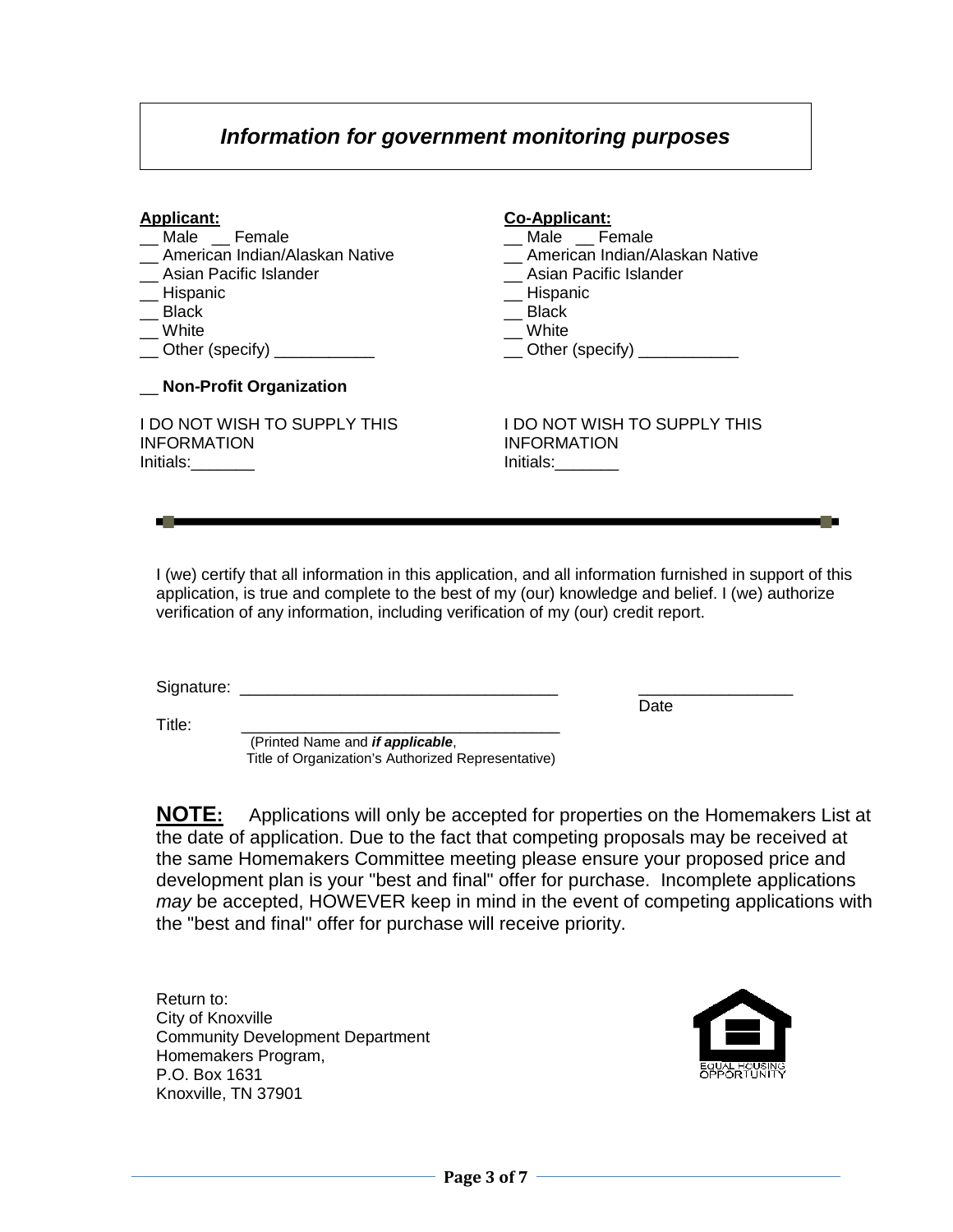### *Information for government monitoring purposes*

#### **Applicant:**

- \_\_ Male \_\_ Female
- \_\_ American Indian/Alaskan Native
- \_\_ Asian Pacific Islander
- **Hispanic**
- $\equiv$  Black
- \_\_ White
- $\Box$  Other (specify)  $\Box$

|  | <b>Non-Profit Organization</b> |
|--|--------------------------------|
|--|--------------------------------|

I DO NOT WISH TO SUPPLY THIS INFORMATION Initials:\_\_\_\_\_\_\_\_

#### **Co-Applicant:**

- \_\_ Male \_\_ Female
- \_\_ American Indian/Alaskan Native
- \_\_ Asian Pacific Islander
- \_\_ Hispanic
- $\equiv$  Black
- \_\_ White
- \_\_ Other (specify) \_\_\_\_\_\_\_\_\_\_\_

I DO NOT WISH TO SUPPLY THIS INFORMATION Initials:

Date

I (we) certify that all information in this application, and all information furnished in support of this application, is true and complete to the best of my (our) knowledge and belief. I (we) authorize verification of any information, including verification of my (our) credit report.

Signature: \_\_\_\_\_\_\_\_\_\_\_\_\_\_\_\_\_\_\_\_\_\_\_\_\_\_\_\_\_\_\_\_\_\_\_ \_\_\_\_\_\_\_\_\_\_\_\_\_\_\_\_\_

Title: \_\_\_\_\_\_\_\_\_\_\_\_\_\_\_\_\_\_\_\_\_\_\_\_\_\_\_\_\_\_\_\_\_\_\_ (Printed Name and *if applicable*,

Title of Organization's Authorized Representative)

**NOTE:** Applications will only be accepted for properties on the Homemakers List at the date of application. Due to the fact that competing proposals may be received at the same Homemakers Committee meeting please ensure your proposed price and development plan is your "best and final" offer for purchase. Incomplete applications *may* be accepted, HOWEVER keep in mind in the event of competing applications with the "best and final" offer for purchase will receive priority.

Return to: City of Knoxville Community Development Department Homemakers Program, P.O. Box 1631 Knoxville, TN 37901

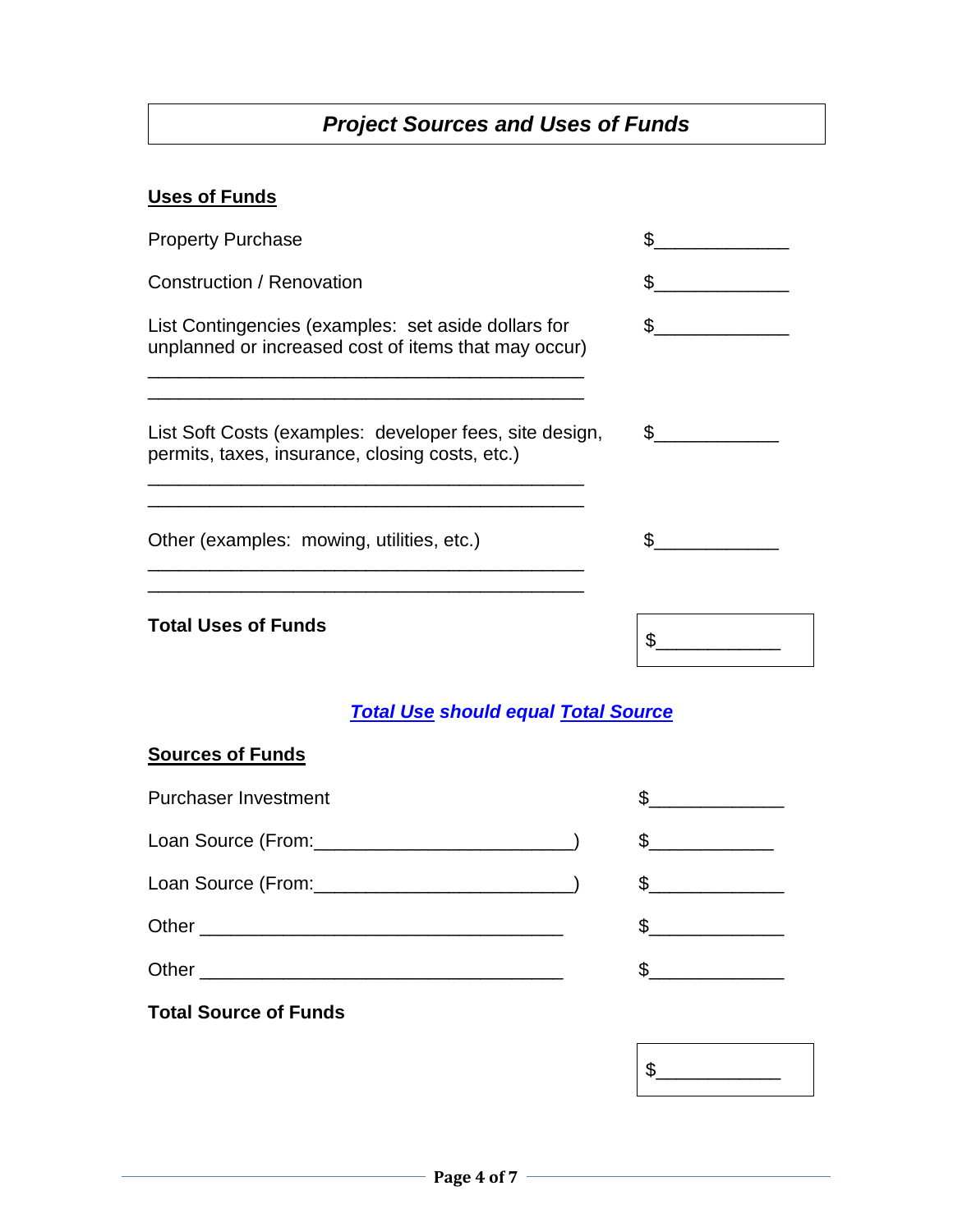## *Project Sources and Uses of Funds*

#### **Uses of Funds**

| <b>Property Purchase</b>                                                                                    |            |
|-------------------------------------------------------------------------------------------------------------|------------|
| Construction / Renovation                                                                                   |            |
| List Contingencies (examples: set aside dollars for<br>unplanned or increased cost of items that may occur) |            |
| List Soft Costs (examples: developer fees, site design,<br>permits, taxes, insurance, closing costs, etc.)  | $^{\circ}$ |
| Other (examples: mowing, utilities, etc.)                                                                   |            |
| <b>Total Uses of Funds</b>                                                                                  |            |

## *Total Use should equal Total Source*

#### **Sources of Funds**

| <b>Purchaser Investment</b> |                                                                                                                                                                                                                                                                                                                                                                                                                                 |
|-----------------------------|---------------------------------------------------------------------------------------------------------------------------------------------------------------------------------------------------------------------------------------------------------------------------------------------------------------------------------------------------------------------------------------------------------------------------------|
|                             | $\frac{1}{2}$                                                                                                                                                                                                                                                                                                                                                                                                                   |
|                             | $\mathbb{S}$                                                                                                                                                                                                                                                                                                                                                                                                                    |
|                             | $\frac{1}{\sqrt{1-\frac{1}{2}}}\frac{1}{\sqrt{1-\frac{1}{2}}}\frac{1}{\sqrt{1-\frac{1}{2}}}\frac{1}{\sqrt{1-\frac{1}{2}}}\frac{1}{\sqrt{1-\frac{1}{2}}}\frac{1}{\sqrt{1-\frac{1}{2}}}\frac{1}{\sqrt{1-\frac{1}{2}}}\frac{1}{\sqrt{1-\frac{1}{2}}}\frac{1}{\sqrt{1-\frac{1}{2}}}\frac{1}{\sqrt{1-\frac{1}{2}}}\frac{1}{\sqrt{1-\frac{1}{2}}}\frac{1}{\sqrt{1-\frac{1}{2}}}\frac{1}{\sqrt{1-\frac{1}{2}}}\frac{1}{\sqrt{1-\frac{$ |
| Other                       |                                                                                                                                                                                                                                                                                                                                                                                                                                 |

## **Total Source of Funds**

 $\frac{1}{2}$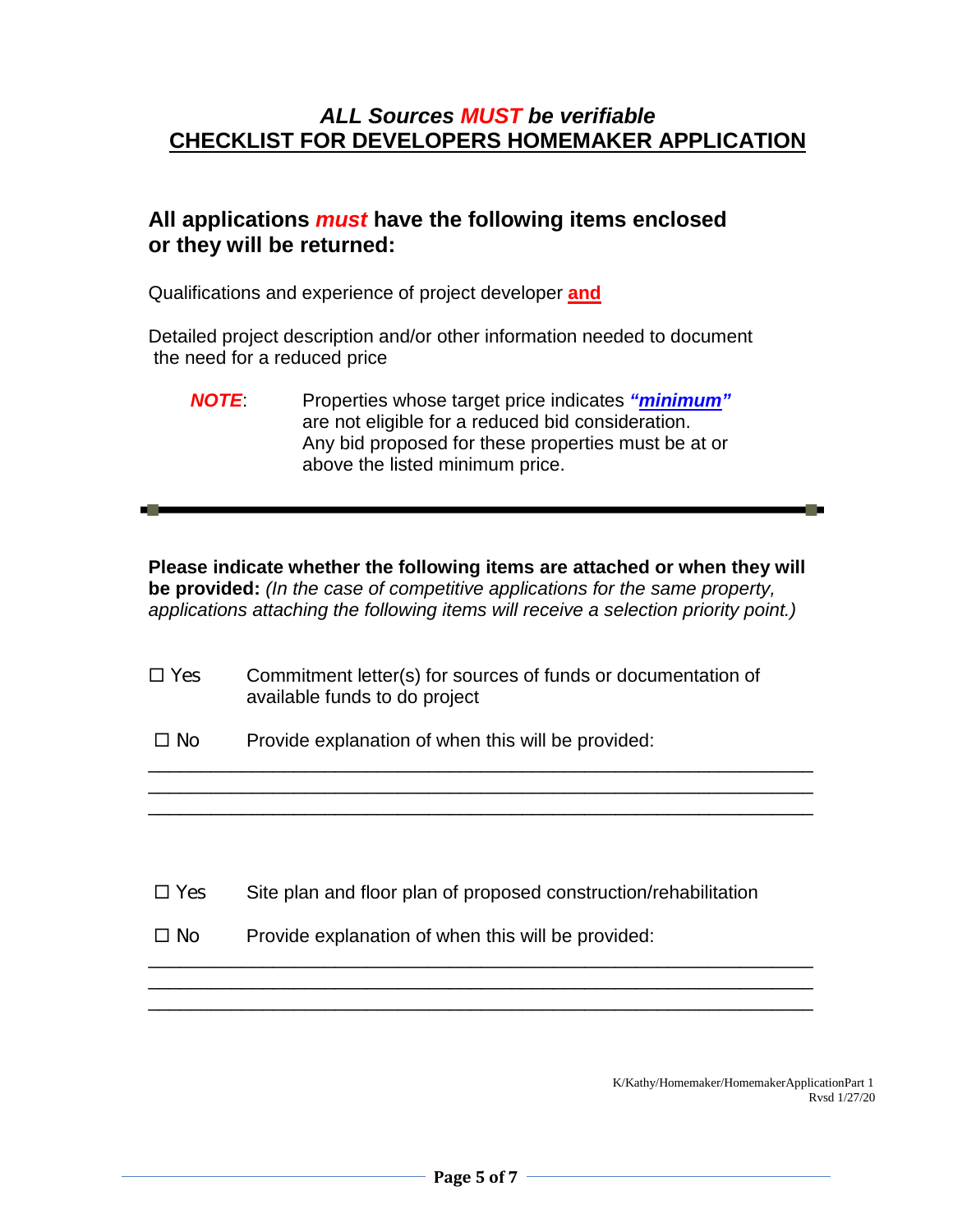### *ALL Sources MUST be verifiable* **CHECKLIST FOR DEVELOPERS HOMEMAKER APPLICATION**

### **All applications** *must* **have the following items enclosed or they will be returned:**

Qualifications and experience of project developer **and**

Detailed project description and/or other information needed to document the need for a reduced price

*NOTE*: Properties whose target price indicates *"minimum"* are not eligible for a reduced bid consideration. Any bid proposed for these properties must be at or above the listed minimum price.

**Please indicate whether the following items are attached or when they will be provided:** *(In the case of competitive applications for the same property, applications attaching the following items will receive a selection priority point.)*

\_\_\_\_\_\_\_\_\_\_\_\_\_\_\_\_\_\_\_\_\_\_\_\_\_\_\_\_\_\_\_\_\_\_\_\_\_\_\_\_\_\_\_\_\_\_\_\_\_\_\_\_\_\_\_\_\_\_\_\_\_\_\_\_ \_\_\_\_\_\_\_\_\_\_\_\_\_\_\_\_\_\_\_\_\_\_\_\_\_\_\_\_\_\_\_\_\_\_\_\_\_\_\_\_\_\_\_\_\_\_\_\_\_\_\_\_\_\_\_\_\_\_\_\_\_\_\_\_ \_\_\_\_\_\_\_\_\_\_\_\_\_\_\_\_\_\_\_\_\_\_\_\_\_\_\_\_\_\_\_\_\_\_\_\_\_\_\_\_\_\_\_\_\_\_\_\_\_\_\_\_\_\_\_\_\_\_\_\_\_\_\_\_

 $\Box$  Yes Commitment letter(s) for sources of funds or documentation of available funds to do project

 $\Box$  No Provide explanation of when this will be provided:

 $\Box$  Yes Site plan and floor plan of proposed construction/rehabilitation

\_\_\_\_\_\_\_\_\_\_\_\_\_\_\_\_\_\_\_\_\_\_\_\_\_\_\_\_\_\_\_\_\_\_\_\_\_\_\_\_\_\_\_\_\_\_\_\_\_\_\_\_\_\_\_\_\_\_\_\_\_\_\_\_ \_\_\_\_\_\_\_\_\_\_\_\_\_\_\_\_\_\_\_\_\_\_\_\_\_\_\_\_\_\_\_\_\_\_\_\_\_\_\_\_\_\_\_\_\_\_\_\_\_\_\_\_\_\_\_\_\_\_\_\_\_\_\_\_ \_\_\_\_\_\_\_\_\_\_\_\_\_\_\_\_\_\_\_\_\_\_\_\_\_\_\_\_\_\_\_\_\_\_\_\_\_\_\_\_\_\_\_\_\_\_\_\_\_\_\_\_\_\_\_\_\_\_\_\_\_\_\_\_

 $\Box$  No Provide explanation of when this will be provided:

K/Kathy/Homemaker/HomemakerApplicationPart 1 Rvsd 1/27/20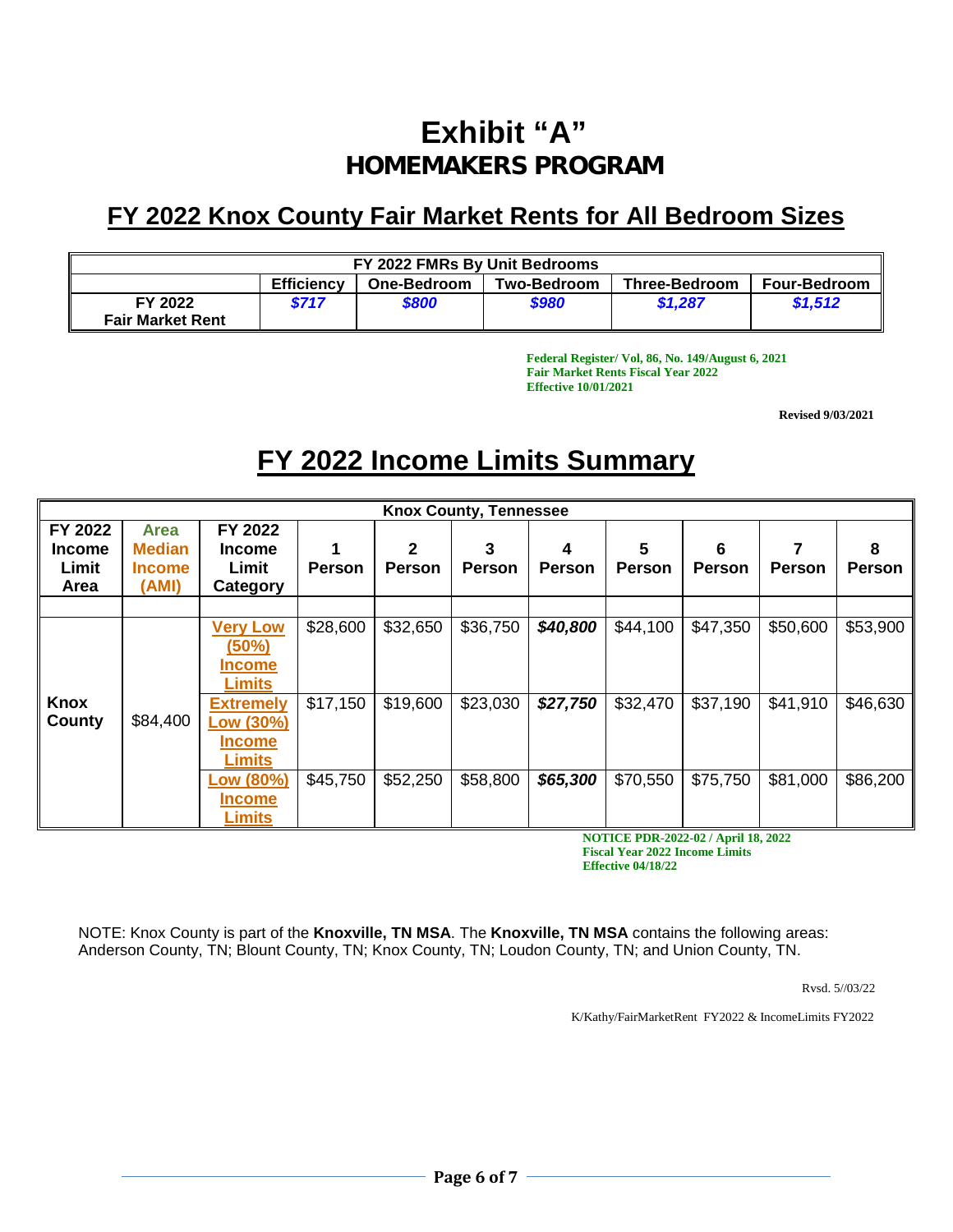# **Exhibit "A" HOMEMAKERS PROGRAM**

## **FY 2022 Knox County Fair Market Rents for All Bedroom Sizes**

| FY 2022 FMRs By Unit Bedrooms                                                                                |       |       |       |         |         |  |  |
|--------------------------------------------------------------------------------------------------------------|-------|-------|-------|---------|---------|--|--|
| <b>Efficiency</b><br><b>Three-Bedroom</b><br><b>Four-Bedroom</b><br><b>Two-Bedroom</b><br><b>One-Bedroom</b> |       |       |       |         |         |  |  |
| FY 2022                                                                                                      | \$717 | \$800 | \$980 | \$1.287 | \$1.512 |  |  |
| <b>Fair Market Rent</b>                                                                                      |       |       |       |         |         |  |  |

**Federal Register/ Vol, 86, No. 149/August 6, 2021 Fair Market Rents Fiscal Year 2022 Effective 10/01/2021**

**Revised 9/03/2021**

# **FY 2022 Income Limits Summary**

| <b>Knox County, Tennessee</b>             |               |                                                              |               |               |               |               |               |          |               |               |
|-------------------------------------------|---------------|--------------------------------------------------------------|---------------|---------------|---------------|---------------|---------------|----------|---------------|---------------|
| FY 2022                                   | <b>Area</b>   | FY 2022                                                      |               |               |               |               |               |          |               |               |
| <b>Income</b>                             | <b>Median</b> | <b>Income</b>                                                |               | 2             | 3             | 4             | 5             | 6        |               | 8             |
| Limit                                     | <b>Income</b> | Limit                                                        | <b>Person</b> | <b>Person</b> | <b>Person</b> | <b>Person</b> | <b>Person</b> | Person   | <b>Person</b> | <b>Person</b> |
| Area                                      | (AMI)         | Category                                                     |               |               |               |               |               |          |               |               |
|                                           |               |                                                              |               |               |               |               |               |          |               |               |
|                                           |               | <b>Very Low</b><br>(50%)                                     | \$28,600      | \$32,650      | \$36,750      | \$40,800      | \$44,100      | \$47,350 | \$50,600      | \$53,900      |
|                                           |               | <b>Income</b><br><b>Limits</b>                               |               |               |               |               |               |          |               |               |
| Knox<br>County                            | \$84,400      | <b>Extremely</b><br>Low (30%)<br><b>Income</b>               | \$17,150      | \$19,600      | \$23,030      | \$27,750      | \$32,470      | \$37,190 | \$41,910      | \$46,630      |
|                                           |               | <b>Limits</b><br>Low (80%)<br><b>Income</b><br><b>Limits</b> | \$45,750      | \$52,250      | \$58,800      | \$65,300      | \$70,550      | \$75,750 | \$81,000      | \$86,200      |
| <b>NOTICE PDR-2022-02 / April 18 2022</b> |               |                                                              |               |               |               |               |               |          |               |               |

**NOTICE PDR-2022-02 / April 18, 2022 Fiscal Year 2022 Income Limits Effective 04/18/22**

NOTE: Knox County is part of the **Knoxville, TN MSA**. The **Knoxville, TN MSA** contains the following areas: Anderson County, TN; Blount County, TN; Knox County, TN; Loudon County, TN; and Union County, TN.

Rvsd. 5//03/22

K/Kathy/FairMarketRent FY2022 & IncomeLimits FY2022